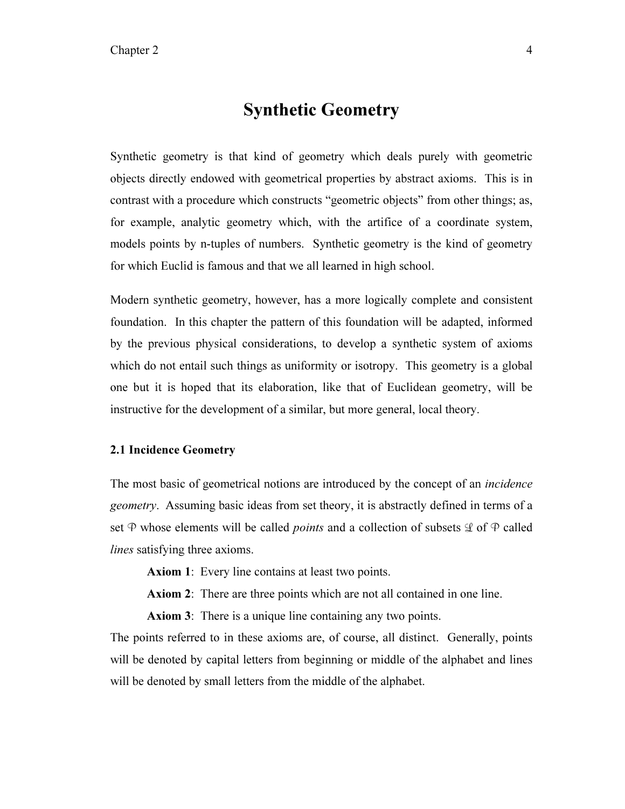# Synthetic Geometry

Synthetic geometry is that kind of geometry which deals purely with geometric objects directly endowed with geometrical properties by abstract axioms. This is in contrast with a procedure which constructs "geometric objects" from other things; as, for example, analytic geometry which, with the artifice of a coordinate system, models points by n-tuples of numbers. Synthetic geometry is the kind of geometry for which Euclid is famous and that we all learned in high school.

Modern synthetic geometry, however, has a more logically complete and consistent foundation. In this chapter the pattern of this foundation will be adapted, informed by the previous physical considerations, to develop a synthetic system of axioms which do not entail such things as uniformity or isotropy. This geometry is a global one but it is hoped that its elaboration, like that of Euclidean geometry, will be instructive for the development of a similar, but more general, local theory.

### 2.1 Incidence Geometry

The most basic of geometrical notions are introduced by the concept of an incidence geometry. Assuming basic ideas from set theory, it is abstractly defined in terms of a set  $\varphi$  whose elements will be called *points* and a collection of subsets  $\varphi$  of  $\varphi$  called lines satisfying three axioms.

Axiom 1: Every line contains at least two points.

Axiom 2: There are three points which are not all contained in one line.

Axiom 3: There is a unique line containing any two points.

The points referred to in these axioms are, of course, all distinct. Generally, points will be denoted by capital letters from beginning or middle of the alphabet and lines will be denoted by small letters from the middle of the alphabet.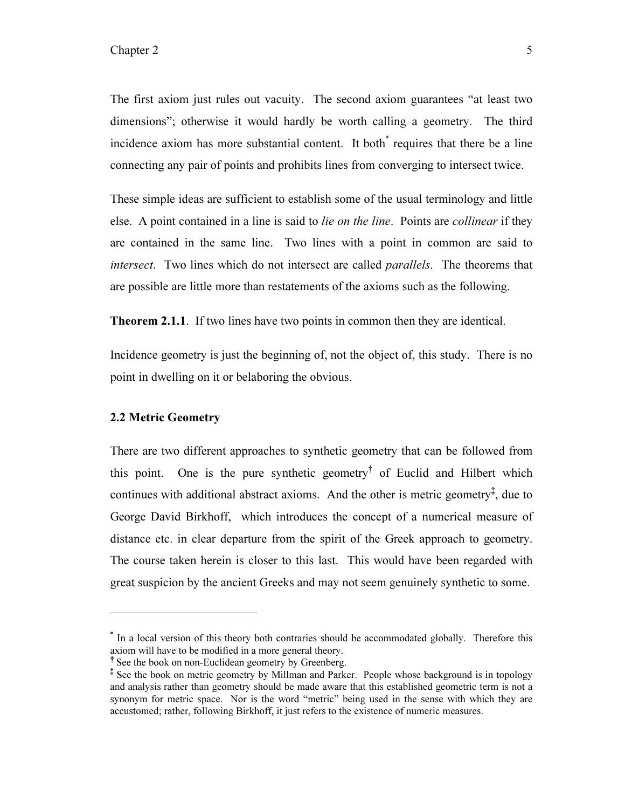The first axiom just rules out vacuity. The second axiom guarantees "at least two dimensions"; otherwise it would hardly be worth calling a geometry. The third incidence axiom has more substantial content. It both<sup>\*</sup> requires that there be a line connecting any pair of points and prohibits lines from converging to intersect twice.

These simple ideas are sufficient to establish some of the usual terminology and little else. A point contained in a line is said to lie on the line. Points are collinear if they are contained in the same line. Two lines with a point in common are said to intersect. Two lines which do not intersect are called *parallels*. The theorems that are possible are little more than restatements of the axioms such as the following.

Theorem 2.1.1. If two lines have two points in common then they are identical.

Incidence geometry is just the beginning of, not the object of, this study. There is no point in dwelling on it or belaboring the obvious.

#### 2.2 Metric Geometry

Ξ

There are two different approaches to synthetic geometry that can be followed from this point. One is the pure synthetic geometry<sup>†</sup> of Euclid and Hilbert which continues with additional abstract axioms. And the other is metric geometry<sup> $\ddagger$ </sup>, due to George David Birkhoff, which introduces the concept of a numerical measure of distance etc. in clear departure from the spirit of the Greek approach to geometry. The course taken herein is closer to this last. This would have been regarded with great suspicion by the ancient Greeks and may not seem genuinely synthetic to some.

<sup>&</sup>lt;sup>\*</sup> In a local version of this theory both contraries should be accommodated globally. Therefore this axiom will have to be modified in a more general theory.

<sup>&</sup>lt;sup>†</sup> See the book on non-Euclidean geometry by Greenberg.

<sup>&</sup>lt;sup>‡</sup> See the book on metric geometry by Millman and Parker. People whose background is in topology and analysis rather than geometry should be made aware that this established geometric term is not a synonym for metric space. Nor is the word "metric" being used in the sense with which they are accustomed; rather, following Birkhoff, it just refers to the existence of numeric measures.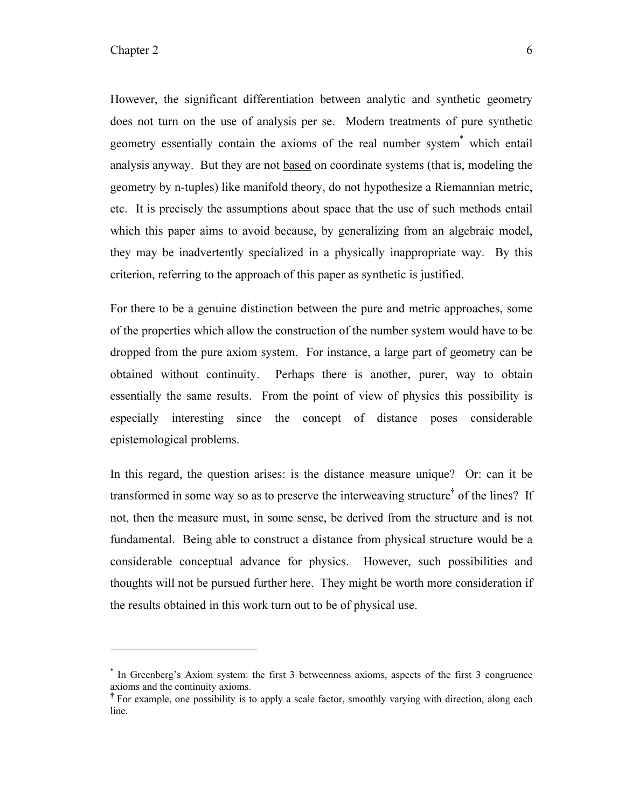ī

However, the significant differentiation between analytic and synthetic geometry does not turn on the use of analysis per se. Modern treatments of pure synthetic geometry essentially contain the axioms of the real number system<sup>\*</sup> which entail analysis anyway. But they are not based on coordinate systems (that is, modeling the geometry by n-tuples) like manifold theory, do not hypothesize a Riemannian metric, etc. It is precisely the assumptions about space that the use of such methods entail which this paper aims to avoid because, by generalizing from an algebraic model, they may be inadvertently specialized in a physically inappropriate way. By this criterion, referring to the approach of this paper as synthetic is justified.

For there to be a genuine distinction between the pure and metric approaches, some of the properties which allow the construction of the number system would have to be dropped from the pure axiom system. For instance, a large part of geometry can be obtained without continuity. Perhaps there is another, purer, way to obtain essentially the same results. From the point of view of physics this possibility is especially interesting since the concept of distance poses considerable epistemological problems.

In this regard, the question arises: is the distance measure unique? Or: can it be transformed in some way so as to preserve the interweaving structure<sup>†</sup> of the lines? If not, then the measure must, in some sense, be derived from the structure and is not fundamental. Being able to construct a distance from physical structure would be a considerable conceptual advance for physics. However, such possibilities and thoughts will not be pursued further here. They might be worth more consideration if the results obtained in this work turn out to be of physical use.

In Greenberg's Axiom system: the first 3 betweenness axioms, aspects of the first 3 congruence axioms and the continuity axioms.

<sup>&</sup>lt;sup>†</sup> For example, one possibility is to apply a scale factor, smoothly varying with direction, along each line.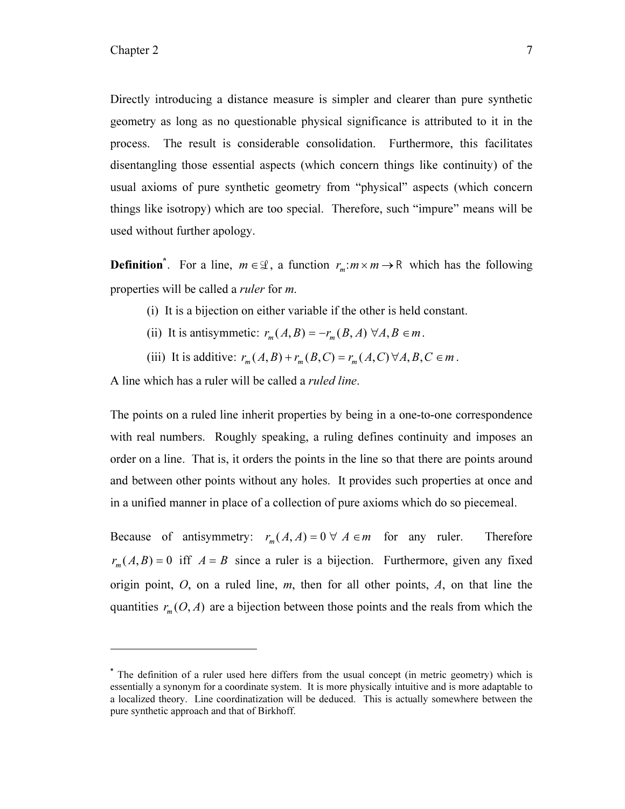ī

Directly introducing a distance measure is simpler and clearer than pure synthetic geometry as long as no questionable physical significance is attributed to it in the process. The result is considerable consolidation. Furthermore, this facilitates disentangling those essential aspects (which concern things like continuity) of the usual axioms of pure synthetic geometry from "physical" aspects (which concern things like isotropy) which are too special. Therefore, such "impure" means will be used without further apology.

**Definition**<sup>\*</sup>. For a line,  $m \in \mathcal{L}$ , a function  $r_m : m \times m \rightarrow \mathbb{R}$  which has the following properties will be called a ruler for m.

- (i) It is a bijection on either variable if the other is held constant.
- (ii) It is antisymmetic:  $r_m(A, B) = -r_m(B, A) \,\forall A, B \in m$ .
- (iii) It is additive:  $r_m(A, B) + r_m(B, C) = r_m(A, C) \,\forall A, B, C \in m$ .

A line which has a ruler will be called a *ruled line*.

The points on a ruled line inherit properties by being in a one-to-one correspondence with real numbers. Roughly speaking, a ruling defines continuity and imposes an order on a line. That is, it orders the points in the line so that there are points around and between other points without any holes. It provides such properties at once and in a unified manner in place of a collection of pure axioms which do so piecemeal.

Because of antisymmetry:  $r_m(A, A) = 0 \ \forall A \in m$  for any ruler. Therefore  $r_m(A, B) = 0$  iff  $A = B$  since a ruler is a bijection. Furthermore, given any fixed origin point,  $O$ , on a ruled line,  $m$ , then for all other points,  $A$ , on that line the quantities  $r_m(O, A)$  are a bijection between those points and the reals from which the

The definition of a ruler used here differs from the usual concept (in metric geometry) which is essentially a synonym for a coordinate system. It is more physically intuitive and is more adaptable to a localized theory. Line coordinatization will be deduced. This is actually somewhere between the pure synthetic approach and that of Birkhoff.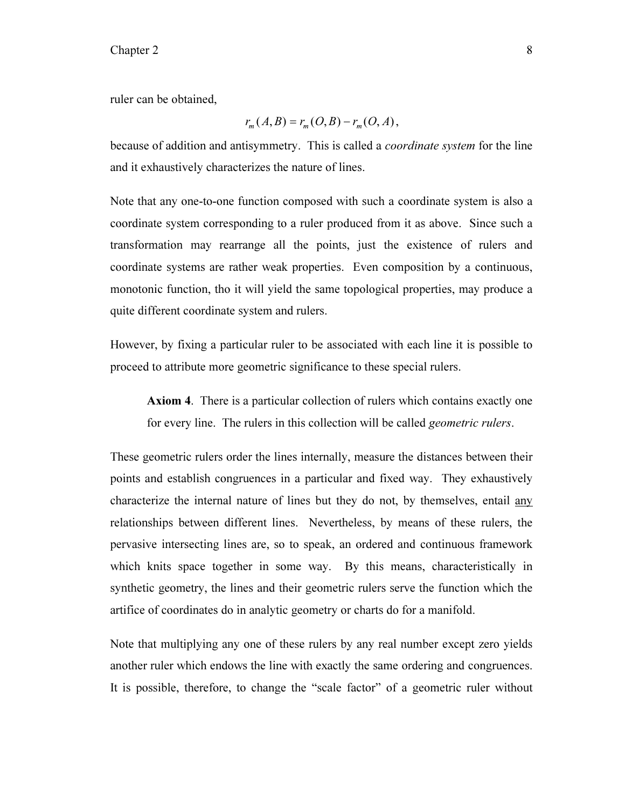Chapter 2 8

ruler can be obtained,

$$
r_m(A, B) = r_m(O, B) - r_m(O, A),
$$

because of addition and antisymmetry. This is called a *coordinate system* for the line and it exhaustively characterizes the nature of lines.

Note that any one-to-one function composed with such a coordinate system is also a coordinate system corresponding to a ruler produced from it as above. Since such a transformation may rearrange all the points, just the existence of rulers and coordinate systems are rather weak properties. Even composition by a continuous, monotonic function, tho it will yield the same topological properties, may produce a quite different coordinate system and rulers.

However, by fixing a particular ruler to be associated with each line it is possible to proceed to attribute more geometric significance to these special rulers.

Axiom 4. There is a particular collection of rulers which contains exactly one for every line. The rulers in this collection will be called *geometric rulers*.

These geometric rulers order the lines internally, measure the distances between their points and establish congruences in a particular and fixed way. They exhaustively characterize the internal nature of lines but they do not, by themselves, entail any relationships between different lines. Nevertheless, by means of these rulers, the pervasive intersecting lines are, so to speak, an ordered and continuous framework which knits space together in some way. By this means, characteristically in synthetic geometry, the lines and their geometric rulers serve the function which the artifice of coordinates do in analytic geometry or charts do for a manifold.

Note that multiplying any one of these rulers by any real number except zero yields another ruler which endows the line with exactly the same ordering and congruences. It is possible, therefore, to change the "scale factor" of a geometric ruler without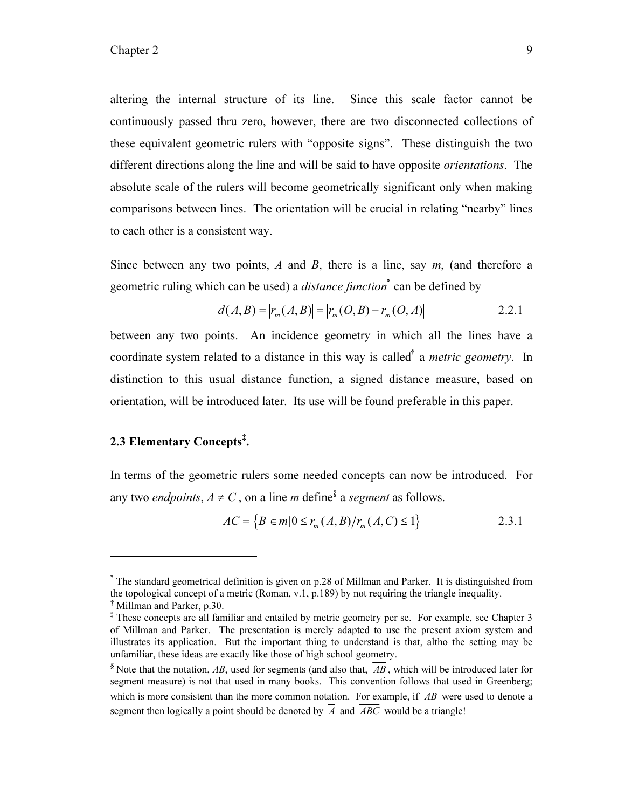altering the internal structure of its line. Since this scale factor cannot be continuously passed thru zero, however, there are two disconnected collections of these equivalent geometric rulers with "opposite signs". These distinguish the two different directions along the line and will be said to have opposite orientations. The absolute scale of the rulers will become geometrically significant only when making comparisons between lines. The orientation will be crucial in relating "nearby" lines to each other is a consistent way.

Since between any two points, A and B, there is a line, say  $m$ , (and therefore a geometric ruling which can be used) a *distance function*<sup>\*</sup> can be defined by

$$
d(A,B) = |r_m(A,B)| = |r_m(O,B) - r_m(O,A)| \qquad (2.2.1)
$$

between any two points. An incidence geometry in which all the lines have a coordinate system related to a distance in this way is called<sup>†</sup> a *metric geometry*. In distinction to this usual distance function, a signed distance measure, based on orientation, will be introduced later. Its use will be found preferable in this paper.

## 2.3 Elementary Concepts .

ī

In terms of the geometric rulers some needed concepts can now be introduced. For any two *endpoints*,  $A \neq C$ , on a line *m* define<sup>§</sup> a *segment* as follows.

$$
AC = \{ B \in m | 0 \le r_m(A, B) / r_m(A, C) \le 1 \}
$$
 2.3.1

 The standard geometrical definition is given on p.28 of Millman and Parker. It is distinguished from the topological concept of a metric (Roman, v.1, p.189) by not requiring the triangle inequality. <sup>†</sup> Millman and Parker, p.30.

<sup>&</sup>lt;sup>‡</sup> These concepts are all familiar and entailed by metric geometry per se. For example, see Chapter 3 of Millman and Parker. The presentation is merely adapted to use the present axiom system and illustrates its application. But the important thing to understand is that, altho the setting may be unfamiliar, these ideas are exactly like those of high school geometry. -

<sup>&</sup>lt;sup>§</sup> Note that the notation, AB, used for segments (and also that,  $\overline{AB}$ , which will be introduced later for segment measure) is not that used in many books. This convention follows that used in Greenberg; which is more consistent than the more common notation. For example, if  $\overline{AB}$  were used to denote a segment then logically a point should be denoted by  $\overline{A}$  and  $\overline{ABC}$  would be a triangle!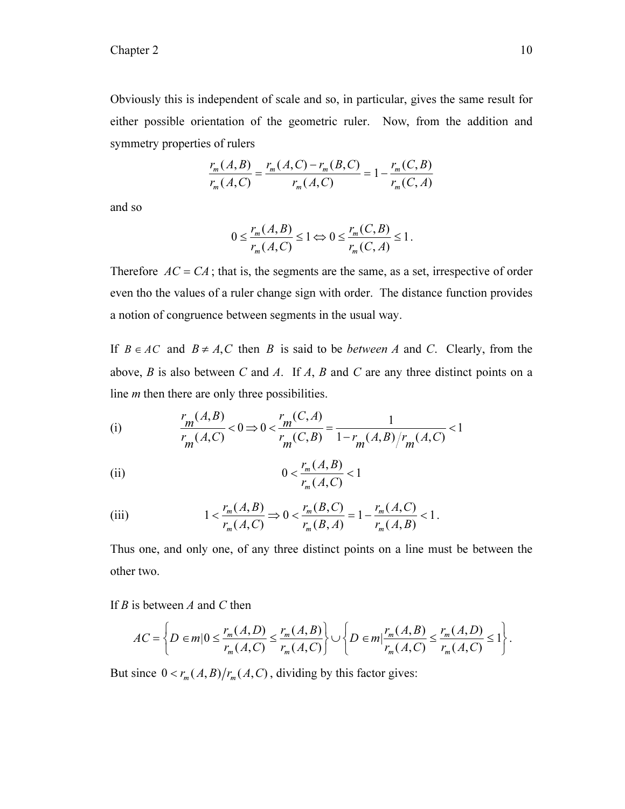Chapter 2 10

Obviously this is independent of scale and so, in particular, gives the same result for either possible orientation of the geometric ruler. Now, from the addition and symmetry properties of rulers

$$
\frac{r_m(A,B)}{r_m(A,C)} = \frac{r_m(A,C) - r_m(B,C)}{r_m(A,C)} = 1 - \frac{r_m(C,B)}{r_m(C,A)}
$$

and so

$$
0 \le \frac{r_m(A,B)}{r_m(A,C)} \le 1 \Leftrightarrow 0 \le \frac{r_m(C,B)}{r_m(C,A)} \le 1.
$$

Therefore  $AC = CA$ ; that is, the segments are the same, as a set, irrespective of order even tho the values of a ruler change sign with order. The distance function provides a notion of congruence between segments in the usual way.

If  $B \in AC$  and  $B \neq A, C$  then B is said to be *between A* and C. Clearly, from the above,  $B$  is also between  $C$  and  $A$ . If  $A$ ,  $B$  and  $C$  are any three distinct points on a line m then there are only three possibilities.

(i) 
$$
\frac{r_m(A,B)}{r_m(A,C)} < 0 \Rightarrow 0 < \frac{r_m(C,A)}{r_m(C,B)} = \frac{1}{1 - r_m(A,B)/r_m(A,C)} < 1
$$

$$
\text{(ii)} \qquad \qquad 0 < \frac{r_m(A, B)}{r_m(A, C)} < 1
$$

(iii) 
$$
1 < \frac{r_m(A, B)}{r_m(A, C)} \Rightarrow 0 < \frac{r_m(B, C)}{r_m(B, A)} = 1 - \frac{r_m(A, C)}{r_m(A, B)} < 1.
$$

Thus one, and only one, of any three distinct points on a line must be between the other two.

#### If  $B$  is between  $A$  and  $C$  then

$$
AC = \left\{ D \in m | 0 \le \frac{r_m(A, D)}{r_m(A, C)} \le \frac{r_m(A, B)}{r_m(A, C)} \right\} \cup \left\{ D \in m | \frac{r_m(A, B)}{r_m(A, C)} \le \frac{r_m(A, D)}{r_m(A, C)} \le 1 \right\}.
$$

But since  $0 < r_m(A, B)/r_m(A, C)$ , dividing by this factor gives: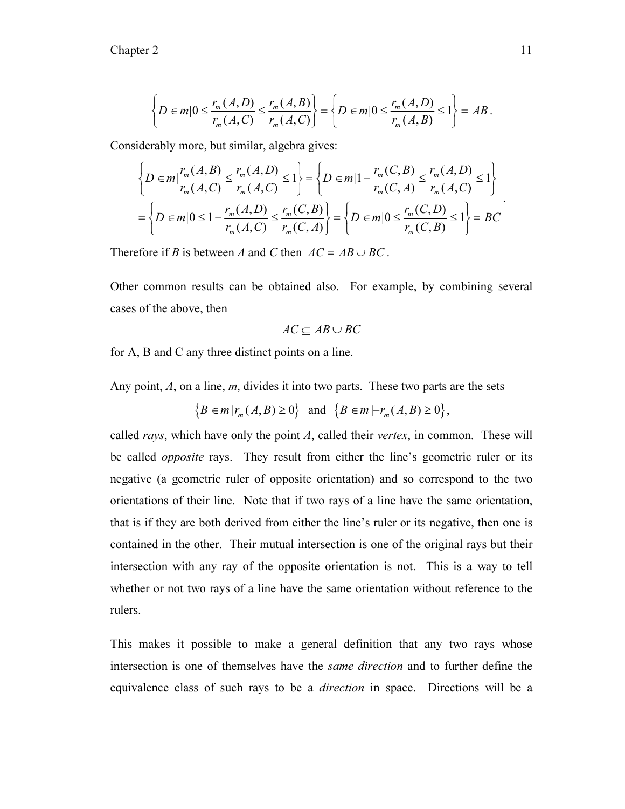$$
\left\{D \in m | 0 \leq \frac{r_m(A, D)}{r_m(A, C)} \leq \frac{r_m(A, B)}{r_m(A, C)}\right\} = \left\{D \in m | 0 \leq \frac{r_m(A, D)}{r_m(A, B)} \leq 1\right\} = AB.
$$

Considerably more, but similar, algebra gives:

$$
\left\{ D \in m \Big| \frac{r_m(A,B)}{r_m(A,C)} \le \frac{r_m(A,D)}{r_m(A,C)} \le 1 \right\} = \left\{ D \in m \Big| 1 - \frac{r_m(C,B)}{r_m(C,A)} \le \frac{r_m(A,D)}{r_m(A,C)} \le 1 \right\}
$$

$$
= \left\{ D \in m \Big| 0 \le 1 - \frac{r_m(A,D)}{r_m(A,C)} \le \frac{r_m(C,B)}{r_m(C,A)} \right\} = \left\{ D \in m \Big| 0 \le \frac{r_m(C,D)}{r_m(C,B)} \le 1 \right\} = BC
$$

Therefore if B is between A and C then  $AC = AB \cup BC$ .

Other common results can be obtained also. For example, by combining several cases of the above, then

$$
AC \subseteq AB \cup BC
$$

for A, B and C any three distinct points on a line.

Any point,  $A$ , on a line,  $m$ , divides it into two parts. These two parts are the sets

$$
\left\{B\in m\left|r_m(A,B)\geq 0\right\}\text{ and }\left\{B\in m\left|-r_m(A,B)\geq 0\right\}\right\}
$$

called rays, which have only the point  $A$ , called their vertex, in common. These will be called *opposite* rays. They result from either the line's geometric ruler or its negative (a geometric ruler of opposite orientation) and so correspond to the two orientations of their line. Note that if two rays of a line have the same orientation, that is if they are both derived from either the line's ruler or its negative, then one is contained in the other. Their mutual intersection is one of the original rays but their intersection with any ray of the opposite orientation is not. This is a way to tell whether or not two rays of a line have the same orientation without reference to the rulers.

This makes it possible to make a general definition that any two rays whose intersection is one of themselves have the same direction and to further define the equivalence class of such rays to be a direction in space. Directions will be a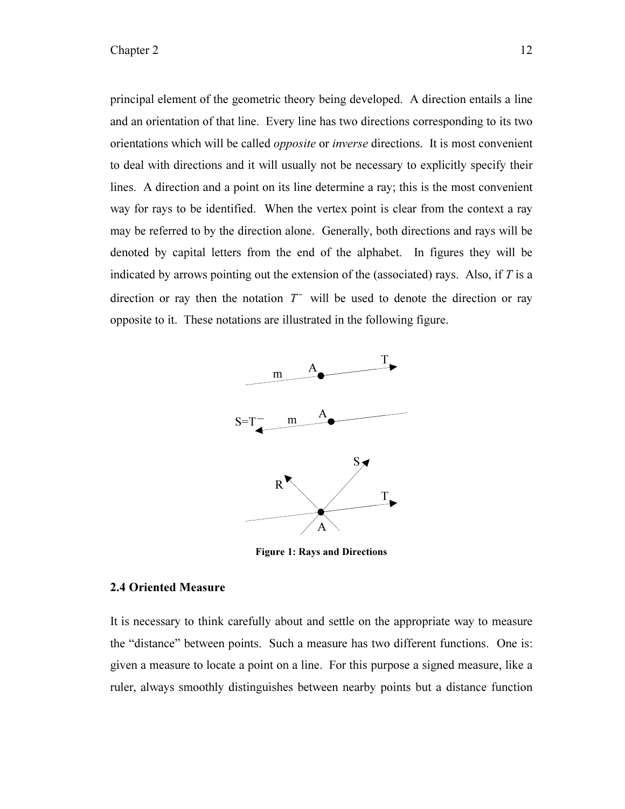principal element of the geometric theory being developed. A direction entails a line and an orientation of that line. Every line has two directions corresponding to its two orientations which will be called opposite or inverse directions. It is most convenient to deal with directions and it will usually not be necessary to explicitly specify their lines. A direction and a point on its line determine a ray; this is the most convenient way for rays to be identified. When the vertex point is clear from the context a ray may be referred to by the direction alone. Generally, both directions and rays will be denoted by capital letters from the end of the alphabet. In figures they will be indicated by arrows pointing out the extension of the (associated) rays. Also, if  $T$  is a direction or ray then the notation  $T<sup>-</sup>$  will be used to denote the direction or ray opposite to it. These notations are illustrated in the following figure.



Figure 1: Rays and Directions

#### 2.4 Oriented Measure

It is necessary to think carefully about and settle on the appropriate way to measure the "distance" between points. Such a measure has two different functions. One is: given a measure to locate a point on a line. For this purpose a signed measure, like a ruler, always smoothly distinguishes between nearby points but a distance function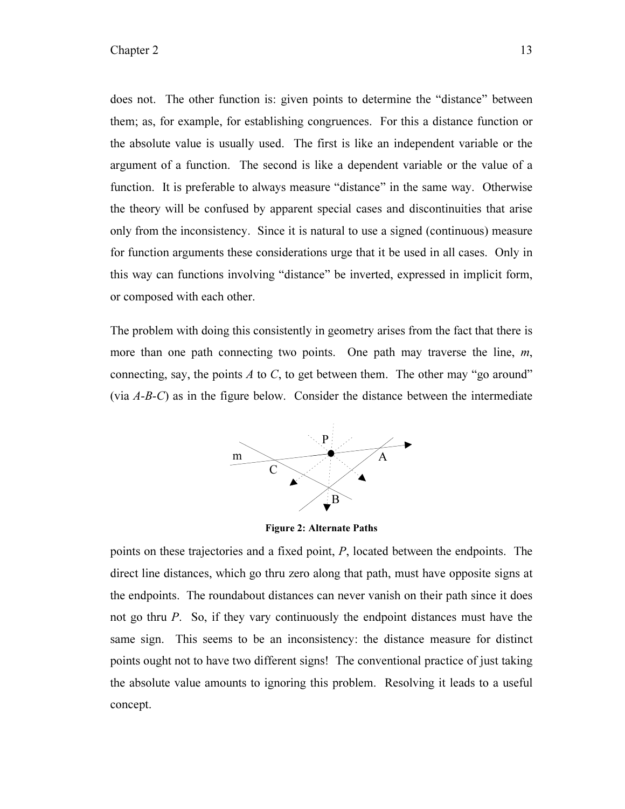does not. The other function is: given points to determine the "distance" between them; as, for example, for establishing congruences. For this a distance function or the absolute value is usually used. The first is like an independent variable or the argument of a function. The second is like a dependent variable or the value of a function. It is preferable to always measure "distance" in the same way. Otherwise the theory will be confused by apparent special cases and discontinuities that arise only from the inconsistency. Since it is natural to use a signed (continuous) measure for function arguments these considerations urge that it be used in all cases. Only in this way can functions involving "distance" be inverted, expressed in implicit form, or composed with each other.

The problem with doing this consistently in geometry arises from the fact that there is more than one path connecting two points. One path may traverse the line,  $m$ , connecting, say, the points  $A$  to  $C$ , to get between them. The other may "go around" (via  $A-B-C$ ) as in the figure below. Consider the distance between the intermediate



Figure 2: Alternate Paths

points on these trajectories and a fixed point, P, located between the endpoints. The direct line distances, which go thru zero along that path, must have opposite signs at the endpoints. The roundabout distances can never vanish on their path since it does not go thru P. So, if they vary continuously the endpoint distances must have the same sign. This seems to be an inconsistency: the distance measure for distinct points ought not to have two different signs! The conventional practice of just taking the absolute value amounts to ignoring this problem. Resolving it leads to a useful concept.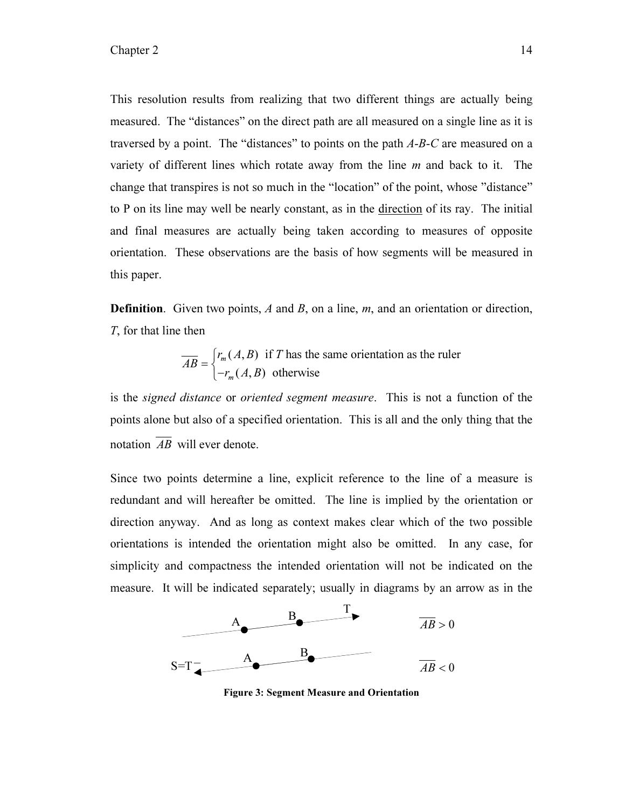This resolution results from realizing that two different things are actually being measured. The "distances" on the direct path are all measured on a single line as it is traversed by a point. The "distances" to points on the path  $A-B-C$  are measured on a variety of different lines which rotate away from the line  $m$  and back to it. The change that transpires is not so much in the "location" of the point, whose "distance" to P on its line may well be nearly constant, as in the direction of its ray. The initial and final measures are actually being taken according to measures of opposite orientation. These observations are the basis of how segments will be measured in this paper.

**Definition.** Given two points, A and B, on a line,  $m$ , and an orientation or direction, T, for that line then

$$
\overline{AB} = \begin{cases} r_m(A, B) & \text{if } T \text{ has the same orientation as the ruler} \\ -r_m(A, B) & \text{otherwise} \end{cases}
$$

is the signed distance or oriented segment measure. This is not a function of the points alone but also of a specified orientation. This is all and the only thing that the notation  $\overline{AB}$  will ever denote.

Since two points determine a line, explicit reference to the line of a measure is redundant and will hereafter be omitted. The line is implied by the orientation or direction anyway. And as long as context makes clear which of the two possible orientations is intended the orientation might also be omitted. In any case, for simplicity and compactness the intended orientation will not be indicated on the measure. It will be indicated separately; usually in diagrams by an arrow as in the



Figure 3: Segment Measure and Orientation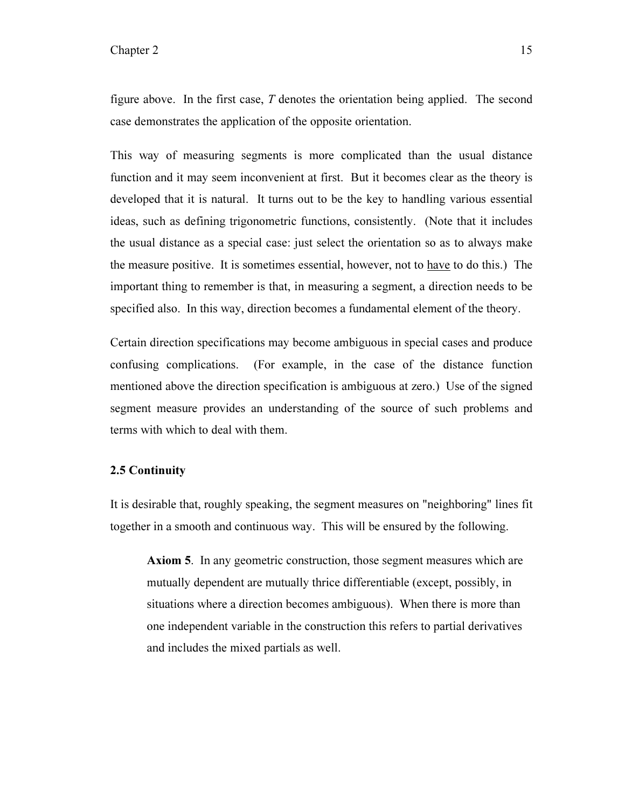figure above. In the first case,  $T$  denotes the orientation being applied. The second case demonstrates the application of the opposite orientation.

This way of measuring segments is more complicated than the usual distance function and it may seem inconvenient at first. But it becomes clear as the theory is developed that it is natural. It turns out to be the key to handling various essential ideas, such as defining trigonometric functions, consistently. (Note that it includes the usual distance as a special case: just select the orientation so as to always make the measure positive. It is sometimes essential, however, not to have to do this.) The important thing to remember is that, in measuring a segment, a direction needs to be specified also. In this way, direction becomes a fundamental element of the theory.

Certain direction specifications may become ambiguous in special cases and produce confusing complications. (For example, in the case of the distance function mentioned above the direction specification is ambiguous at zero.) Use of the signed segment measure provides an understanding of the source of such problems and terms with which to deal with them.

#### 2.5 Continuity

It is desirable that, roughly speaking, the segment measures on "neighboring" lines fit together in a smooth and continuous way. This will be ensured by the following.

Axiom 5. In any geometric construction, those segment measures which are mutually dependent are mutually thrice differentiable (except, possibly, in situations where a direction becomes ambiguous). When there is more than one independent variable in the construction this refers to partial derivatives and includes the mixed partials as well.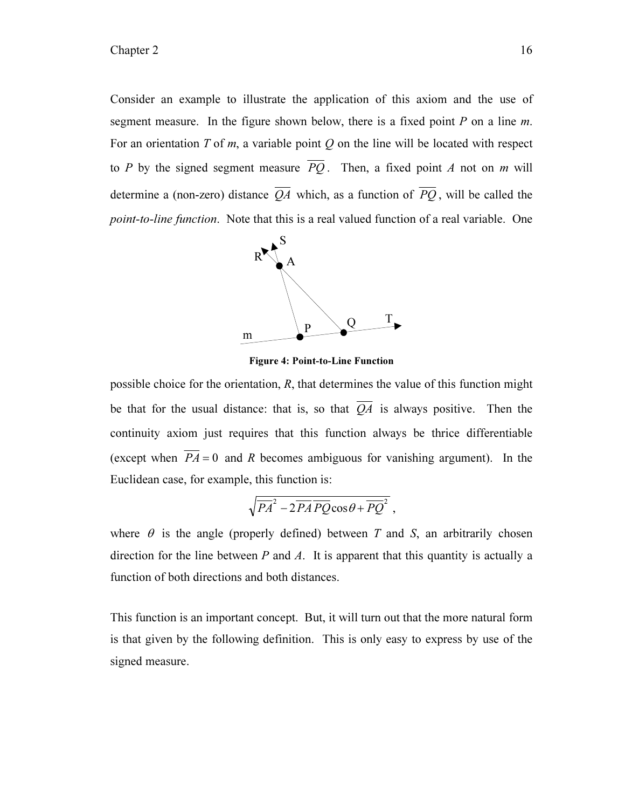Consider an example to illustrate the application of this axiom and the use of segment measure. In the figure shown below, there is a fixed point  $P$  on a line  $m$ . For an orientation T of m, a variable point  $Q$  on the line will be located with respect to P by the signed segment measure  $\overline{PQ}$ . Then, a fixed point A not on m will determine a (non-zero) distance  $\overline{OA}$  which, as a function of  $\overline{PQ}$ , will be called the point-to-line function. Note that this is a real valued function of a real variable. One



Figure 4: Point-to-Line Function

possible choice for the orientation, R, that determines the value of this function might be that for the usual distance: that is, so that  $QA$  is always positive. Then the continuity axiom just requires that this function always be thrice differentiable (except when  $\overline{PA} = 0$  and R becomes ambiguous for vanishing argument). In the Euclidean case, for example, this function is:

$$
\sqrt{\overline{PA}^2 - 2\overline{PA}} \overline{PQ}\cos\theta + \overline{PQ}^2
$$

where  $\theta$  is the angle (properly defined) between T and S, an arbitrarily chosen direction for the line between  $P$  and  $A$ . It is apparent that this quantity is actually a function of both directions and both distances.

This function is an important concept. But, it will turn out that the more natural form is that given by the following definition. This is only easy to express by use of the signed measure.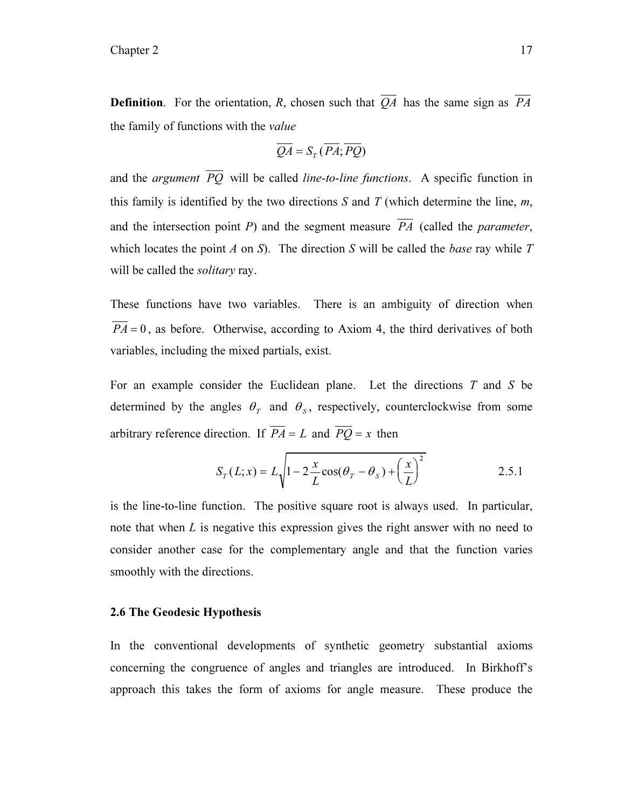**Definition.** For the orientation, R, chosen such that  $\overline{OA}$  has the same sign as  $\overline{PA}$ the family of functions with the value

$$
\overline{QA} = S_T(\overline{PA}; \overline{PQ})
$$

and the *argument*  $\overline{PO}$  will be called *line-to-line functions*. A specific function in this family is identified by the two directions  $S$  and  $T$  (which determine the line,  $m$ , and the intersection point P) and the segment measure  $\overline{PA}$  (called the *parameter*, which locates the point A on S). The direction S will be called the base ray while T will be called the *solitary* ray.

These functions have two variables. There is an ambiguity of direction when  $\overline{PA} = 0$ , as before. Otherwise, according to Axiom 4, the third derivatives of both variables, including the mixed partials, exist.

For an example consider the Euclidean plane. Let the directions T and S be determined by the angles  $\theta_{\tau}$  and  $\theta_{s}$ , respectively, counterclockwise from some arbitrary reference direction. If  $\overline{PA} = L$  and  $\overline{PQ} = x$  then

$$
S_T(L;x) = L\sqrt{1 - 2\frac{x}{L}\cos(\theta_T - \theta_s) + \left(\frac{x}{L}\right)^2}
$$
 2.5.1

is the line-to-line function. The positive square root is always used. In particular, note that when  $L$  is negative this expression gives the right answer with no need to consider another case for the complementary angle and that the function varies smoothly with the directions.

#### 2.6 The Geodesic Hypothesis

In the conventional developments of synthetic geometry substantial axioms concerning the congruence of angles and triangles are introduced. In Birkhoffs approach this takes the form of axioms for angle measure. These produce the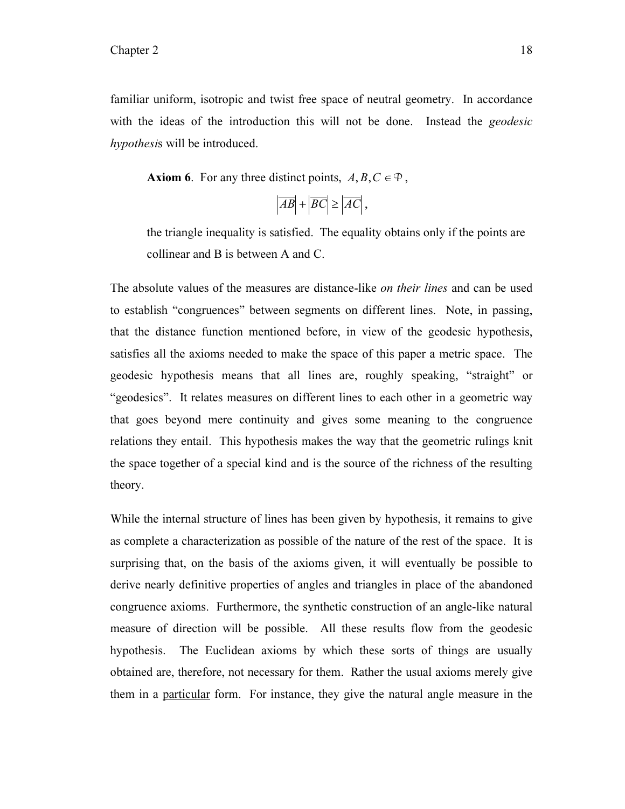familiar uniform, isotropic and twist free space of neutral geometry. In accordance with the ideas of the introduction this will not be done. Instead the *geodesic* hypothesis will be introduced.

**Axiom 6.** For any three distinct points,  $A, B, C \in \mathcal{P}$ ,

$$
\left|\overline{AB}\right| + \left|\overline{BC}\right| \ge \left|\overline{AC}\right|,
$$

the triangle inequality is satisfied. The equality obtains only if the points are collinear and B is between A and C.

The absolute values of the measures are distance-like *on their lines* and can be used to establish "congruences" between segments on different lines. Note, in passing, that the distance function mentioned before, in view of the geodesic hypothesis, satisfies all the axioms needed to make the space of this paper a metric space. The geodesic hypothesis means that all lines are, roughly speaking, "straight" or "geodesics". It relates measures on different lines to each other in a geometric way that goes beyond mere continuity and gives some meaning to the congruence relations they entail. This hypothesis makes the way that the geometric rulings knit the space together of a special kind and is the source of the richness of the resulting theory.

While the internal structure of lines has been given by hypothesis, it remains to give as complete a characterization as possible of the nature of the rest of the space. It is surprising that, on the basis of the axioms given, it will eventually be possible to derive nearly definitive properties of angles and triangles in place of the abandoned congruence axioms. Furthermore, the synthetic construction of an angle-like natural measure of direction will be possible. All these results flow from the geodesic hypothesis. The Euclidean axioms by which these sorts of things are usually obtained are, therefore, not necessary for them. Rather the usual axioms merely give them in a particular form. For instance, they give the natural angle measure in the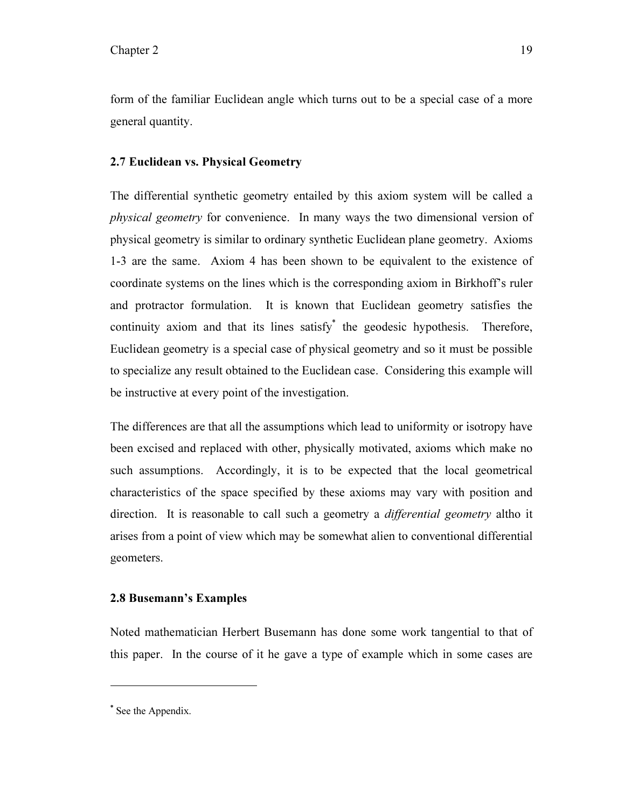form of the familiar Euclidean angle which turns out to be a special case of a more general quantity.

## 2.7 Euclidean vs. Physical Geometry

The differential synthetic geometry entailed by this axiom system will be called a physical geometry for convenience. In many ways the two dimensional version of physical geometry is similar to ordinary synthetic Euclidean plane geometry. Axioms 1-3 are the same. Axiom 4 has been shown to be equivalent to the existence of coordinate systems on the lines which is the corresponding axiom in Birkhoff's ruler and protractor formulation. It is known that Euclidean geometry satisfies the continuity axiom and that its lines satisfy the geodesic hypothesis. Therefore, Euclidean geometry is a special case of physical geometry and so it must be possible to specialize any result obtained to the Euclidean case. Considering this example will be instructive at every point of the investigation.

The differences are that all the assumptions which lead to uniformity or isotropy have been excised and replaced with other, physically motivated, axioms which make no such assumptions. Accordingly, it is to be expected that the local geometrical characteristics of the space specified by these axioms may vary with position and direction. It is reasonable to call such a geometry a differential geometry altho it arises from a point of view which may be somewhat alien to conventional differential geometers.

## 2.8 Busemann's Examples

Noted mathematician Herbert Busemann has done some work tangential to that of this paper. In the course of it he gave a type of example which in some cases are

Ξ

<sup>\*</sup> See the Appendix.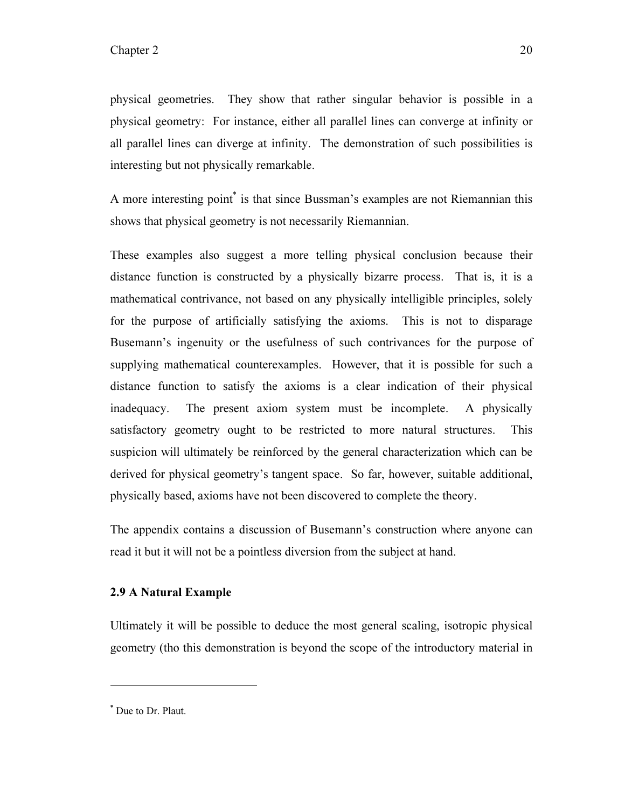physical geometries. They show that rather singular behavior is possible in a physical geometry: For instance, either all parallel lines can converge at infinity or all parallel lines can diverge at infinity. The demonstration of such possibilities is interesting but not physically remarkable.

A more interesting point is that since Bussman's examples are not Riemannian this shows that physical geometry is not necessarily Riemannian.

These examples also suggest a more telling physical conclusion because their distance function is constructed by a physically bizarre process. That is, it is a mathematical contrivance, not based on any physically intelligible principles, solely for the purpose of artificially satisfying the axioms. This is not to disparage Busemann's ingenuity or the usefulness of such contrivances for the purpose of supplying mathematical counterexamples. However, that it is possible for such a distance function to satisfy the axioms is a clear indication of their physical inadequacy. The present axiom system must be incomplete. A physically satisfactory geometry ought to be restricted to more natural structures. This suspicion will ultimately be reinforced by the general characterization which can be derived for physical geometry's tangent space. So far, however, suitable additional, physically based, axioms have not been discovered to complete the theory.

The appendix contains a discussion of Busemann's construction where anyone can read it but it will not be a pointless diversion from the subject at hand.

## 2.9 A Natural Example

Ultimately it will be possible to deduce the most general scaling, isotropic physical geometry (tho this demonstration is beyond the scope of the introductory material in

ī

 Due to Dr. Plaut.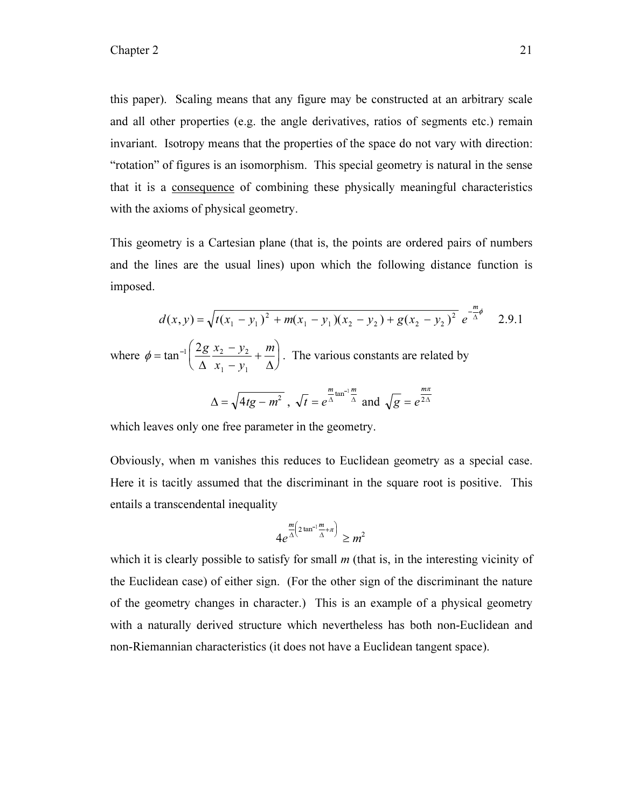this paper). Scaling means that any figure may be constructed at an arbitrary scale and all other properties (e.g. the angle derivatives, ratios of segments etc.) remain invariant. Isotropy means that the properties of the space do not vary with direction: "rotation" of figures is an isomorphism. This special geometry is natural in the sense that it is a consequence of combining these physically meaningful characteristics with the axioms of physical geometry.

This geometry is a Cartesian plane (that is, the points are ordered pairs of numbers and the lines are the usual lines) upon which the following distance function is imposed.

$$
d(x,y) = \sqrt{t(x_1 - y_1)^2 + m(x_1 - y_1)(x_2 - y_2) + g(x_2 - y_2)^2} e^{-\frac{m}{\Delta}\phi}
$$
 2.9.1

where  $\varphi =$ - -  $^{\mathrm{+}}$ æ è l. ö ø  $tan^{-1}\left[\frac{28}{3}\frac{x_2}{x_2} + \frac{m}{x}\right]$ . . .  $2g x_2 - y$  $x_1 - y$ m  $\Delta$   $X_1 = V_1$   $\Delta$ . The various constants are related by

$$
\Delta = \sqrt{4tg - m^2}, \sqrt{t} = e^{\frac{m}{\Delta} \tan^{-1} \frac{m}{\Delta}} \text{ and } \sqrt{g} = e^{\frac{m\pi}{2\Delta}}
$$

which leaves only one free parameter in the geometry.

Obviously, when m vanishes this reduces to Euclidean geometry as a special case. Here it is tacitly assumed that the discriminant in the square root is positive. This entails a transcendental inequality

$$
4e^{\frac{m}{\Delta}\left(2\tan^{-1}\frac{m}{\Delta}+x\right)}\geq m^2
$$

which it is clearly possible to satisfy for small  $m$  (that is, in the interesting vicinity of the Euclidean case) of either sign. (For the other sign of the discriminant the nature of the geometry changes in character.) This is an example of a physical geometry with a naturally derived structure which nevertheless has both non-Euclidean and non-Riemannian characteristics (it does not have a Euclidean tangent space).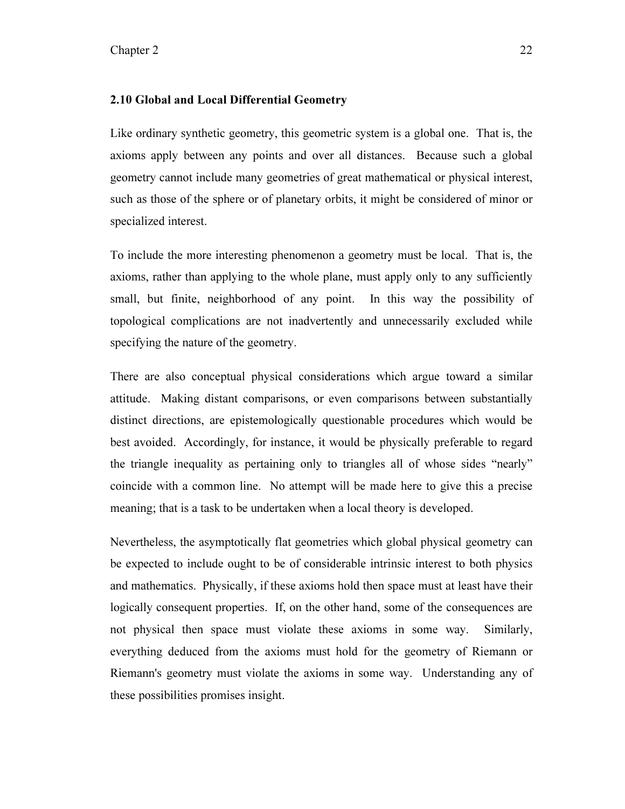## Chapter 2 22

#### 2.10 Global and Local Differential Geometry

Like ordinary synthetic geometry, this geometric system is a global one. That is, the axioms apply between any points and over all distances. Because such a global geometry cannot include many geometries of great mathematical or physical interest, such as those of the sphere or of planetary orbits, it might be considered of minor or specialized interest.

To include the more interesting phenomenon a geometry must be local. That is, the axioms, rather than applying to the whole plane, must apply only to any sufficiently small, but finite, neighborhood of any point. In this way the possibility of topological complications are not inadvertently and unnecessarily excluded while specifying the nature of the geometry.

There are also conceptual physical considerations which argue toward a similar attitude. Making distant comparisons, or even comparisons between substantially distinct directions, are epistemologically questionable procedures which would be best avoided. Accordingly, for instance, it would be physically preferable to regard the triangle inequality as pertaining only to triangles all of whose sides "nearly" coincide with a common line. No attempt will be made here to give this a precise meaning; that is a task to be undertaken when a local theory is developed.

Nevertheless, the asymptotically flat geometries which global physical geometry can be expected to include ought to be of considerable intrinsic interest to both physics and mathematics. Physically, if these axioms hold then space must at least have their logically consequent properties. If, on the other hand, some of the consequences are not physical then space must violate these axioms in some way. Similarly, everything deduced from the axioms must hold for the geometry of Riemann or Riemann's geometry must violate the axioms in some way. Understanding any of these possibilities promises insight.